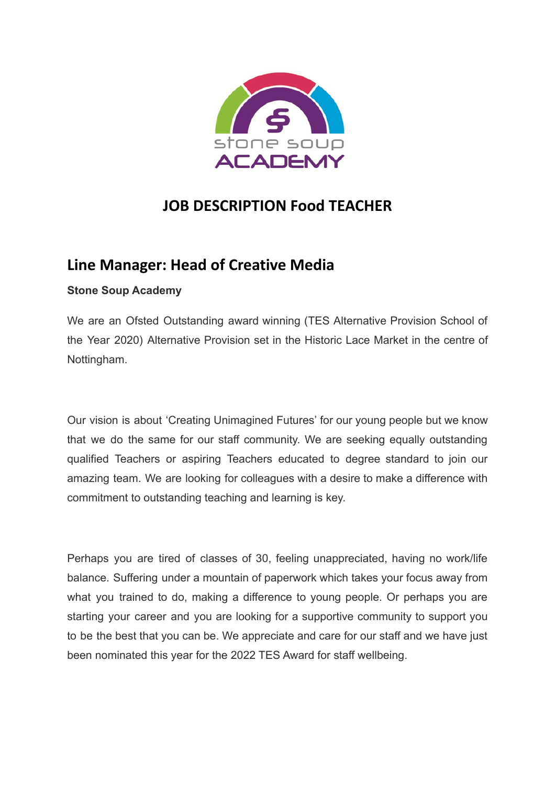

# **JOB DESCRIPTION Food TEACHER**

# **Line Manager: Head of Creative Media**

# **Stone Soup Academy**

We are an Ofsted Outstanding award winning (TES Alternative Provision School of the Year 2020) Alternative Provision set in the Historic Lace Market in the centre of Nottingham.

Our vision is about 'Creating Unimagined Futures' for our young people but we know that we do the same for our staff community. We are seeking equally outstanding qualified Teachers or aspiring Teachers educated to degree standard to join our amazing team. We are looking for colleagues with a desire to make a difference with commitment to outstanding teaching and learning is key.

Perhaps you are tired of classes of 30, feeling unappreciated, having no work/life balance. Suffering under a mountain of paperwork which takes your focus away from what you trained to do, making a difference to young people. Or perhaps you are starting your career and you are looking for a supportive community to support you to be the best that you can be. We appreciate and care for our staff and we have just been nominated this year for the 2022 TES Award for staff wellbeing.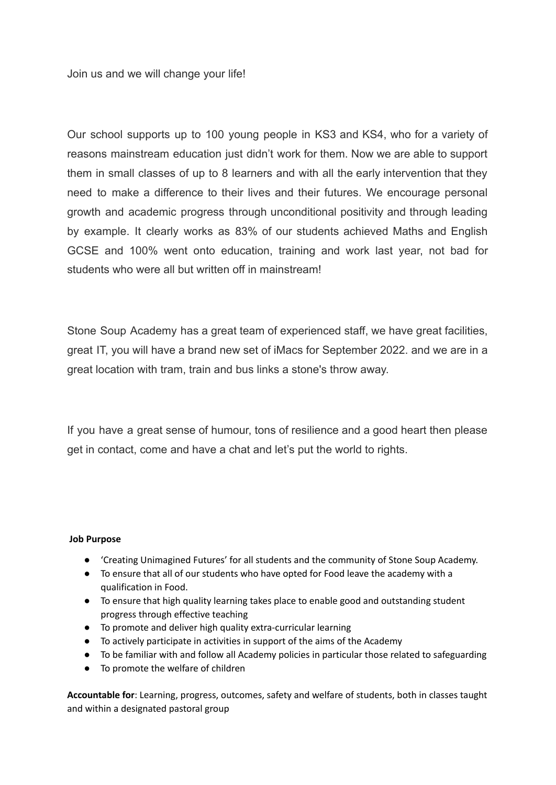Join us and we will change your life!

Our school supports up to 100 young people in KS3 and KS4, who for a variety of reasons mainstream education just didn't work for them. Now we are able to support them in small classes of up to 8 learners and with all the early intervention that they need to make a difference to their lives and their futures. We encourage personal growth and academic progress through unconditional positivity and through leading by example. It clearly works as 83% of our students achieved Maths and English GCSE and 100% went onto education, training and work last year, not bad for students who were all but written off in mainstream!

Stone Soup Academy has a great team of experienced staff, we have great facilities, great IT, you will have a brand new set of iMacs for September 2022. and we are in a great location with tram, train and bus links a stone's throw away.

If you have a great sense of humour, tons of resilience and a good heart then please get in contact, come and have a chat and let's put the world to rights.

#### **Job Purpose**

- 'Creating Unimagined Futures' for all students and the community of Stone Soup Academy.
- To ensure that all of our students who have opted for Food leave the academy with a qualification in Food.
- To ensure that high quality learning takes place to enable good and outstanding student progress through effective teaching
- To promote and deliver high quality extra-curricular learning
- To actively participate in activities in support of the aims of the Academy
- To be familiar with and follow all Academy policies in particular those related to safeguarding
- To promote the welfare of children

**Accountable for**: Learning, progress, outcomes, safety and welfare of students, both in classes taught and within a designated pastoral group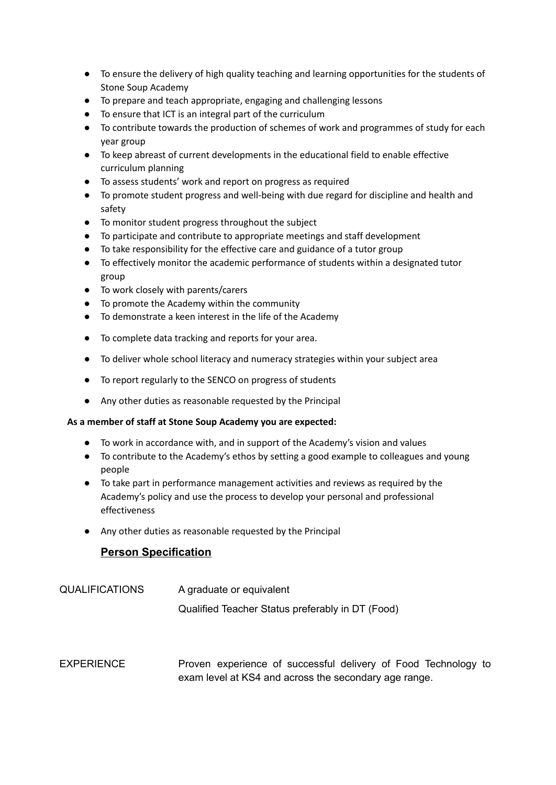- To ensure the delivery of high quality teaching and learning opportunities for the students of Stone Soup Academy
- To prepare and teach appropriate, engaging and challenging lessons
- To ensure that ICT is an integral part of the curriculum
- To contribute towards the production of schemes of work and programmes of study for each year group
- To keep abreast of current developments in the educational field to enable effective curriculum planning
- To assess students' work and report on progress as required
- To promote student progress and well-being with due regard for discipline and health and safety
- To monitor student progress throughout the subject
- To participate and contribute to appropriate meetings and staff development
- To take responsibility for the effective care and guidance of a tutor group
- **●** To effectively monitor the academic performance of students within a designated tutor group
- To work closely with parents/carers
- To promote the Academy within the community
- To demonstrate a keen interest in the life of the Academy
- To complete data tracking and reports for your area.
- To deliver whole school literacy and numeracy strategies within your subject area
- To report regularly to the SENCO on progress of students
- Any other duties as reasonable requested by the Principal

### **As a member of staff at Stone Soup Academy you are expected:**

- To work in accordance with, and in support of the Academy's vision and values
- To contribute to the Academy's ethos by setting a good example to colleagues and young people
- **●** To take part in performance management activities and reviews as required by the Academy's policy and use the process to develop your personal and professional effectiveness
- Any other duties as reasonable requested by the Principal

## **Person Specification**

- QUALIFICATIONS A graduate or equivalent Qualified Teacher Status preferably in DT (Food)
- EXPERIENCE Proven experience of successful delivery of Food Technology to exam level at KS4 and across the secondary age range.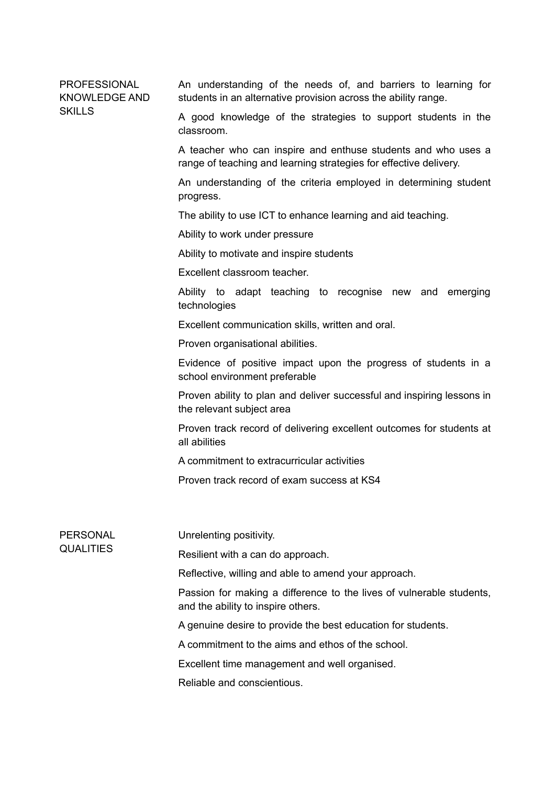PROFESSIONAL KNOWLEDGE AND **SKILLS** 

An understanding of the needs of, and barriers to learning for students in an alternative provision across the ability range.

A good knowledge of the strategies to support students in the classroom.

A teacher who can inspire and enthuse students and who uses a range of teaching and learning strategies for effective delivery.

An understanding of the criteria employed in determining student progress.

The ability to use ICT to enhance learning and aid teaching.

Ability to work under pressure

Ability to motivate and inspire students

Excellent classroom teacher.

Ability to adapt teaching to recognise new and emerging technologies

Excellent communication skills, written and oral.

Proven organisational abilities.

Evidence of positive impact upon the progress of students in a school environment preferable

Proven ability to plan and deliver successful and inspiring lessons in the relevant subject area

Proven track record of delivering excellent outcomes for students at all abilities

A commitment to extracurricular activities

Proven track record of exam success at KS4

PERSONAL **QUALITIES** 

Unrelenting positivity.

Resilient with a can do approach.

Reflective, willing and able to amend your approach.

Passion for making a difference to the lives of vulnerable students, and the ability to inspire others.

A genuine desire to provide the best education for students.

A commitment to the aims and ethos of the school.

Excellent time management and well organised.

Reliable and conscientious.